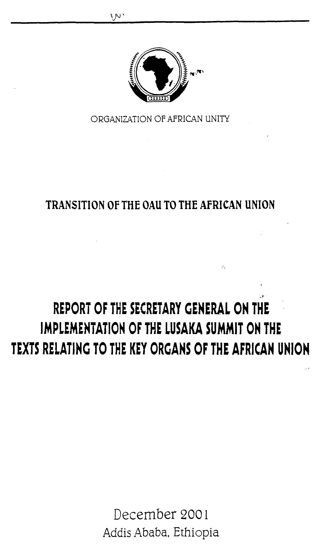

ORGANIZATION OF AFRICAN UNITY

# **TRANSITION OF THE OAll TO THE AFRICAN UNION**

# **REPORT OF THE SECRETARY GENERAL ON THE IMPLEMENTATION OF THE LUSAKA SUMMIT ON THE TEXTS RELATING TO THE KEY ORGANS OF THE AFRICAN UNION**

 $\mathcal{V}_\mathrm{c}$ 

December 2001 Addis Ababa, Ethiopia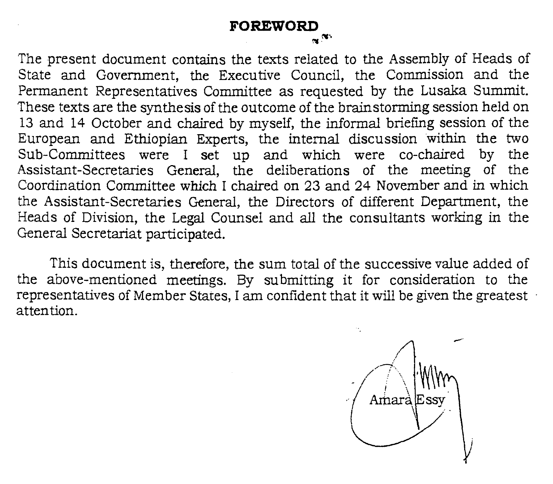The present document contains the texts related to the Assembly of Heads of State and Government, the Executive Council, the Commission and the Permanent Representatives Committee as requested by the Lusaka Summit. These texts are the synthesis of the outcome of the brainstorming session held on 13 and 14 October and chaired by myself, the informal briefing session of the European and Ethiopian Experts, the internal discussion within the two Sub-Committees were I set up and which were co-chaired by the Assistant-Secretaries General, the deliberations of the meeting of the Coordination Committee which I chaired on 23 and 24 November and in which the Assistant-Secretaries General, the Directors of different Department, the Heads of Division, the Legal Counsel and all the consultants working in the General. Secretariat participated.

This document is, therefore, the sum total of the successive value added of the above-mentioned meetings. By submitting it for consideration to the representatives of Member States, I am confident that it will be given the greatest attention.

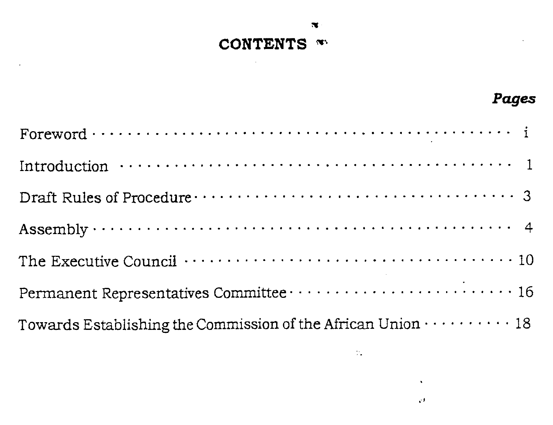# **CONTENTS**  $\infty$

 $\star$ 

| Introduction $\cdots \cdots \cdots \cdots \cdots \cdots \cdots \cdots \cdots \cdots \cdots \cdots \cdots$      |
|----------------------------------------------------------------------------------------------------------------|
|                                                                                                                |
|                                                                                                                |
| The Executive Council $\cdots \cdots \cdots \cdots \cdots \cdots \cdots \cdots \cdots \cdots \cdots \cdots 10$ |
| Permanent Representatives Committee  16                                                                        |
| Towards Establishing the Commission of the African Union $\cdots\cdots\cdots\cdots$ 18                         |
|                                                                                                                |

 $\mathcal{V}_\bullet$ 

 $\mathbf{v}$  $\mathcal{C}^{\mathcal{F}}$  *Pages* 

 $\cdot$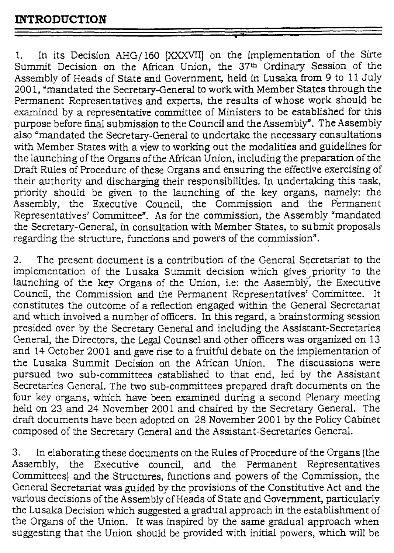1. In its Decision AHG/160 [XXXVII] on the implementation of the Sirte Summit Decision on the African Union, the 37<sup>th</sup> Ordinary Session of the Assembly of Heads of State and Government, held in Lusaka from 9 to 11 July 2001, "mandated the Secretary-General to work with Member States through the Permanent Representatives and experts, the results of whose work should be examined by a representative committee of Ministers to be established for this purpose before final submission to the Council and the Assembly". The Assembly also "mandated the Secretary-General to undertake the necessary consultations with Member States with a view to working out the modalities and guidelines for the launching of the Organs of the African Union, including the preparation of the Draft Rules of Procedure of these Organs and ensuring the effective exercising of their authority and discharging their responsibilities. In undertaking this task, priority should be given to the launching of the key organs, namely: the Assembly, the Executive Council, the Commission and the Permanent Representatives' Committee". As for the commission, the Assembly "mandated the Secretary-General, in consultation with Member States, to submit proposals regarding the structure, functions and powers of the commission".

2. The present document is a contribution of the General Secretariat to the implementation of the Lusaka Summit decision which gives ,priority to the launching of the key Organs of the Union, i.e: the Assembly, the Executive Council, the Commission and the Permanent Representatives' Committee. constitutes the outcome of a reflection engaged within the General Secretariat and which involved a number of officers. In this regard, a brainstorming session presided over by the Secretary General and including the Assistant-Secretaries General, the Directors, the Legal Counsel and other officers was organized on 13 and 14 October 2001 and gave rise to a fruitful debate on the implementation of the Lusaka Summit Decision on the African Union. The discussions were pursued two sub-committees established to that end, led by the Assistant Secretaries General. The two sub-committees prepared draft documents on the four key organs, which have been examined during a second Plenary meeting held on 23 and 24 November 2001 and chaired by the Secretary General. The draft documents have been adopted on 28 November 2001 by the Policy Cabinet composed of the Secretary General and the Assistant-Secretaries General.

3. In elaborating these documents on the Rules of Procedure of the Organs (the Assembly, the Executive council, and the Permanent Representatives Committees) and the Structures, functions and powers of the Commission, the General Secretariat was guided by the provisions of the Constitutive Act and the various decisions of the Assembly of Heads of State and Government, particularly the Lusaka Decision which suggested a gradual approach in the establishment of the Organs of the Union. It was inspired by the same gradual approach when suggesting that the Union should be provided with initial powers, which will be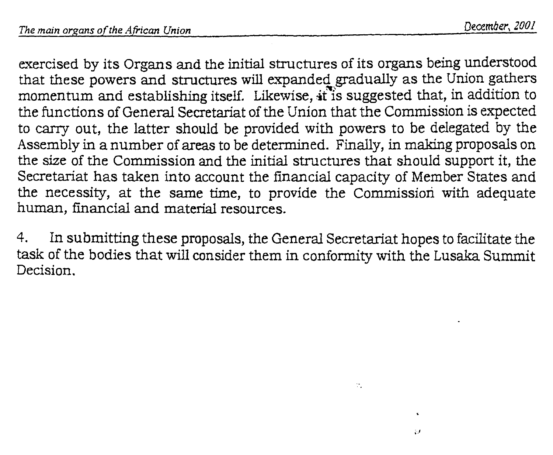exercised by its Organs and the initial structures of its organs being understood that these powers and structures will expanded gradually as the Union gathers momentum and establishing itself. Likewise, it is suggested that, in addition to the functions of General Secretariat of the Union that the Commission is expected to carry out, the latter should be provided with powers to be delegated by the Assembly in a number of areas to be determined. Finally, in making proposals on the size of the Commission and the initial structures that should support it, the Secretariat has taken into account the financial capacity of Member States and the necessity, at the same time, to provide the Commission with adequate human, financial and material resources.

4. In submitting these proposals, the General Secretariat hopes to facilitate the task of the bodies that will consider them in conformity with the Lusaka Summit Decision.

÷.

81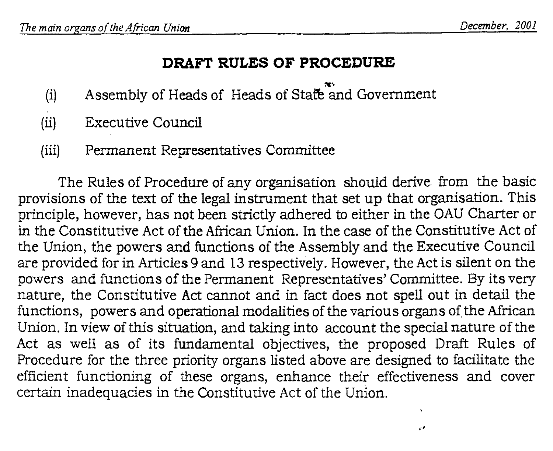J.

### **DRAFT RULES OF PROCEDURE**

- (i) Assembly of Heads of Heads of Statte and Government
- (ii) Executive Council
- (iii) Permanent Representatives Committee

The Rules of Procedure of any organisation should derive from the basic provisions of the text of the legal instrument that set up that organisation. This principle, however, has not been strictly adhered to either in the OAU Charter or in the Constitutive Act of the African Union. In the case of the Constitutive Act of the Union, the powers and functions of the Assembly and the Executive Council are provided for in Articles 9 and 13 respectively. However, the Act is silent on the powers and functions of the Permanent Representatives' Committee. By its very nature, the Constitutive Act cannot and in fact does not spell out in detail the functions, powers and operational modalities of the various organs of the African Union. In view of this situation, and taking into account the special nature of the Act as well as of its fundamental objectives, the proposed Draft Rules of Procedure for the three priority organs listed above are designed to facilitate the efficient functioning of these organs, enhance their effectiveness and cover certain inadequacies in the Constitutive Act of the Union.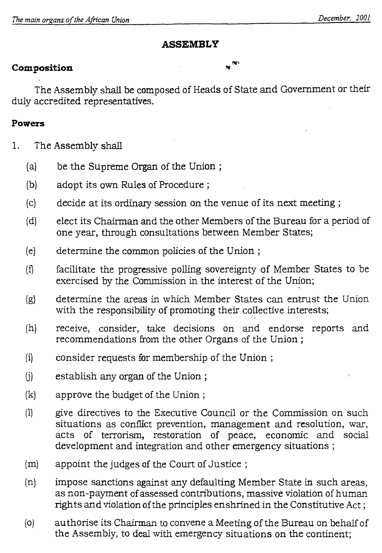# **ASSEMBLY**

# **Composition**  $\mathbf{x}^{\mathbf{w}^t}$

The Assembly shall be composed of Heads of State and Government or their duly accredited representatives.

### **Powers**

- 1. The Assembly shall
	- (a) be the Supreme Organ of the Union ;
	- (b) adopt its own Rules of Procedure ;
	- (c) decide at its ordinary session on the venue of its next meeting ;
	- (d) elect its Chairman and the other Members of the Bureau for a period of one year, through consultations between Member States;
	- (e) determine the common policies of the Union ;
	- (I) facilitate the progressive polling sovereignty of Member States to be exercised by the Commission in the interest of the Union;
	- (g) determine the areas in which Member States can entrust the Union with the responsibility of promoting their collective interests;
	- (h) receive, consider, take decisions on and endorse reports and recommendations from the other Organs of the Union ;
	- (i) consider requests for membership of the Union ;
	- (j) establish any organ of the Union ;
	- (k) approve the budget of the Union ;
	- (1) give directives to the Executive Council or the Commission on such situations as conflict prevention, management and resolution, war, acts of terrorism, restoration of peace, economic and social development and integration and other emergency situations ;
	- (m) appoint the judges of the Court of Justice ;
	- (n) impose sanctions against any defaulting Member State in such areas, as non-payment of assessed contributions, massive violation of human rights and violation of the principles enshrined in the Constitutive Act ;
	- (o) authorise its Chairman to convene a Meeting of the Bureau on behsifof the Assembly, to deal with emergency situations on the continent;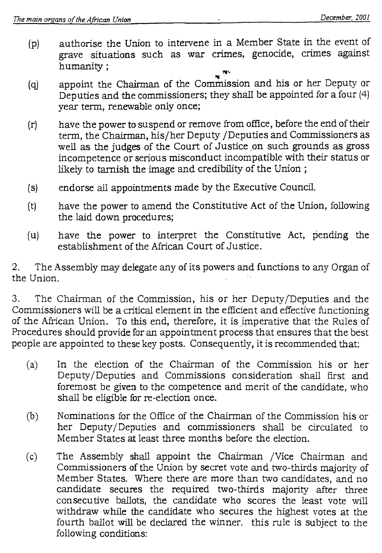- (p) authorise the Union to intervene in a Member State in the event of grave situations such as war crimes, genocide, crimes against humanity ;
- (q) appoint the Chairman of the Commission and his or her Deputy or Deputies and the commissioners; they shall be appointed for a four (4) year term, renewable only once;
- (r) have the power to suspend or remove from office, before the end of their term, the Chairman, his/her Deputy /Deputies and Commissioners as well as the judges of the Court of Justice on such grounds as gross incompetence or serious misconduct incompatible with their status or likely to tarnish the image and credibility of the Union ;
- (s) endorse all appointments made by the Executive Council.
- (t) have the power to amend the Constitutive Act of the Union, following the laid down procedures;
- (u) have the power to interpret the Constitutive Act, pending the establishment of the African Court of Justice.

2. The Assembly may delegate any of its powers and functions to any Organ of the Union.

3. The Chairman of the Commission, his or her Deputy/Deputies and the Commissioners will be a critical element in the efficient and effective functioning of the African Union. To this end, therefore, it is imperative that the Rules of Procedures should provide for an appointment process that ensures that the best people are appointed to these key posts. Consequently, it is recommended that:

- (a) In the election of the Chairman of the Commission his or her Deputy/Deputies and Commissions consideration shall first and foremost be given to the competence and merit of the candidate, who shall be eligible for re-election once.
- (b) Nominations for the Office of the Chairman of the Commission his or her Deputy/Deputies and commissioners shall be circulated to Member States at least three months before the election.
- (c) The Assembly shall appoint the Chairman /Vice Chairman and Commissioners of the Union by secret vote and two-thirds majority of Member States. Where there are more than two candidates, and no candidate secures the required two-thirds majority after three consecutive ballots, the candidate who scores the least vote will withdraw while the candidate who secures the highest votes at the fourth ballot will be declared the winner. this rule is subject to the following conditions: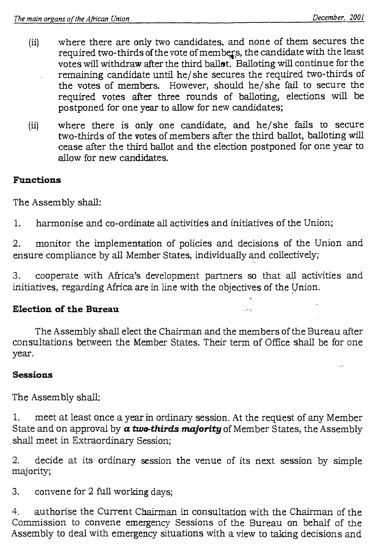- (ii) where there are only two candidates, and none of them secures the required two-thirds of the vote of members, the candidate with the least votes will withdraw after the third ballet. Balloting will continue for the remaining candidate until he/ she secures the required two-thirds of the votes of members. However, should he/she fail to secure the required votes after three rounds of balloting, elections will be postponed for one year to allow for new candidates;
- where there is only one candidate, and he/she fails to secure  $(ii)$ two-thirds of the votes of members after the third ballot, balloting will cease after the third ballot and the election postponed for one year to allow for new candidates.

# **Functions**

The Assembly shall:

1. harmonise and co-ordinate all activities and initiatives of the Union;

2. monitor the implementation of policies and decisions of the Union and ensure compliance by all Member States, individually and collectively;

3. cooperate with Africa's development partners so that all activities and initiatives, regarding Africa are in line with the objectives of the Union.

# **Election of the Bureau**

The Assembly shall elect the Chairman and the members of the Bureau after consultations between the Member States. Their term of Office shall be for one year.

# **Sessions**

The Assembly shall:

1. meet at least once a year in ordinary session. At the request of any Member State and on approval by *a two-thirds majority* of Member States, the Assembly shall meet in Extraordinary Session:

2. decide at its ordinary session the venue of its next session by simple majority;

3. convene for 2 full working days;

4. authorise the Current Chairman in consultation with the Chairman of the Commission to convene emergency Sessions of the Bureau on behalf of the Assembly to deal with emergency situations with a view to taking decisions and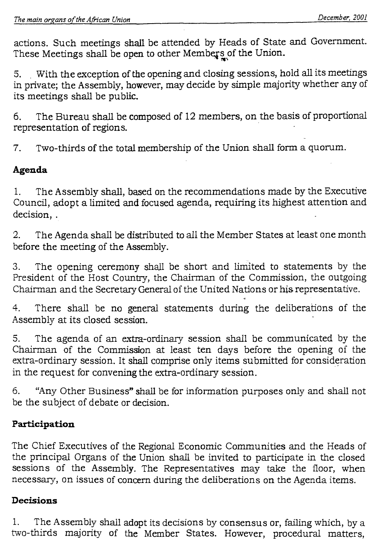actions. Such meetings shall be attended by Heads of State and Government. These Meetings shall be open to other Members of the Union.

5. With the exception of the opening and closing sessions, hold all its meetings in private; the Assembly, however, may decide by simple majority whether any of its meetings shall be public.

6. The Bureau shall be composed of 12 members, on the basis of proportional representation of regions.

7. Two-thirds of the total membership of the Union shall form a quorum.

# **Agenda**

1. The Assembly shall, based on the recommendations made by the Executive Council, adopt a limited and focused agenda, requiring its highest attention and decision, .

2. The Agenda shall be distributed to all the Member States at least one month before the meeting of the Assembly.

3. The opening ceremony shall be short and limited to statements by the President of the Host Country, the Chairman of the Commission, the outgoing Chairman and the Secretary General of the United Nations or his representative.

4. There shall be no general statements during the deliberations of the Assembly at its closed session.

5. The agenda of an extra-ordinary session shall be communicated by the Chairman of the Commission at least ten days before the opening of the extra-ordinary session. It shall comprise only items submitted for consideration in the request for convening the extra-ordinary session.

6. "Any Other Business" shall be for information purposes only and shall not be the subject of debate or decision.

# **Participation**

The Chief Executives of the Regional Economic Communities and the Heads of the principal Organs of the Union shall be invited to participate in the closed sessions of the Assembly. The Representatives may take the floor, when necessary, on issues of concern during the deliberations on the Agenda items.

### **Decisions**

1. The Assembly shall adopt its decisions by consensus or, failing which, by a two-thirds majority of the Member States. However, procedural matters,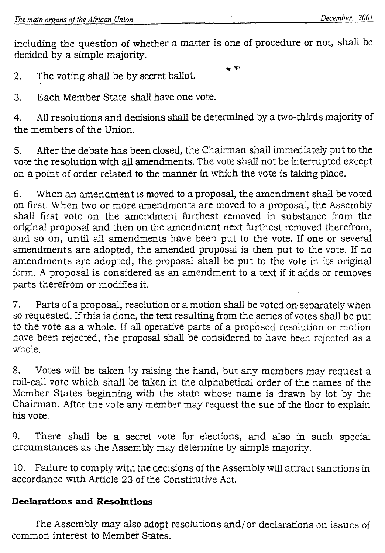including the question of whether a matter is one of procedure or not, shall be decided by a simple majority.

 $\mathbf{w}^{\mathbf{u}\mathbf{v}}$ 

2. The voting shall be by secret ballot.

3. Each Member State shall have one vote.

4. All resolutions and decisions shall be determined by a two-thirds majority of the members of the Union.

5. After the debate has been closed, the Chairman shall immediately put to the vote the resolution with all amendments. The vote shall not be interrupted except on a point of order related to the manner in which the vote is taking place.

6. When an amendment is moved to a proposal, the amendment shall be voted on first. When two or more amendments are moved to a proposal, the Assembly shall first vote on the amendment furthest removed in substance from the original proposal and then on the amendment next furthest removed therefrom, and so on, until all amendments have been put to the vote. If one or several amendments are adopted, the amended proposal is then put to the vote. If no amendments are adopted, the proposal shall be put to the vote in its original form. A proposal is considered as an amendment to a text if it adds or removes parts therefrom or modifies it.

7. Parts of a proposal, resolution or a motion shall be voted on. separately when so requested. If this is done, the text resulting from the series of votes shall be put to the vote as a whole. If all operative parts of a proposed resolution or motion have been rejected, the proposal shall be considered to have been rejected as a whole.

8. Votes will be taken by raising the hand, but any members may request a roll-call vote which shall be taken in the alphabetical order of the names of the Member States beginning with the state whose name is drawn by lot by the Chairman. After the vote any member may request the sue of the floor to explain his vote.

9. There shall be a secret vote for elections, and also in such special circumstances as the Assembly may determine by simple majority.

10. Failure to comply with the decisions of the Assembly will attract sanctions in accordance with Article 23 of the Constitutive Act.

# **Declarations and Resolutions**

The Assembly may also adopt resolutions and/or declarations on issues of common interest to Member States.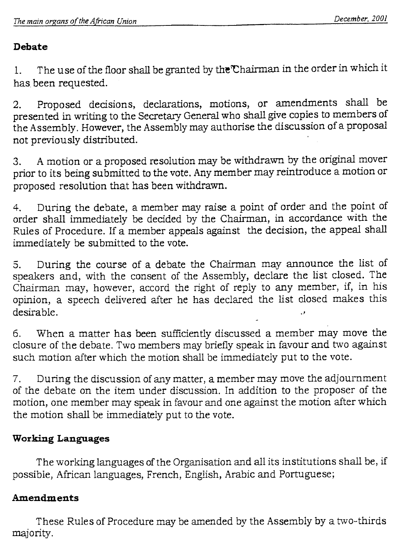# **Debate**

1. The use of the floor shall be granted by the Chairman in the order in which it has been requested.

2. Proposed decisions, declarations, motions, or amendments shall be presented in writing to the Secretary General who shall give copies to members of the Assembly. However, the Assembly may authorise the discussion of a proposal not previously distributed.

3. A motion or a proposed resolution may be withdrawn by the original mover prior to its being submitted to the vote. Any member may reintroduce a motion or proposed resolution that has been withdrawn.

4. During the debate, a member may raise a point of order and the point of order shall immediately be decided by the Chairman, in accordance with the Rules of Procedure. If a member appeals against the decision, the appeal shall immediately be submitted to the vote.

5. During the course of a debate the Chairman may announce the list of speakers and, with the consent of the Assembly, declare the list closed. The Chairman may, however, accord the right of reply to any member, if, in his opinion, a speech delivered after he has declared the list closed makes this desirable.

6. When a matter has been sufficiently discussed a member may move the closure of the debate. Two members may briefly speak in favour and two against such motion after which the motion shall be immediately put to the vote.

7. During the discussion of any matter, a member may move the adjournment of the debate on the item under discussion. In addition to the proposer of the motion, one member may speak in favour and one against the motion after which the motion shall be immediately put to the vote.

# **Working Languages**

The working languages of the Organisation and all its institutions shall be, if possible, African languages, French, English, Arabic and Portuguese;

# **Amendments**

These Rules of Procedure may be amended by the Assembly by a two-thirds majority.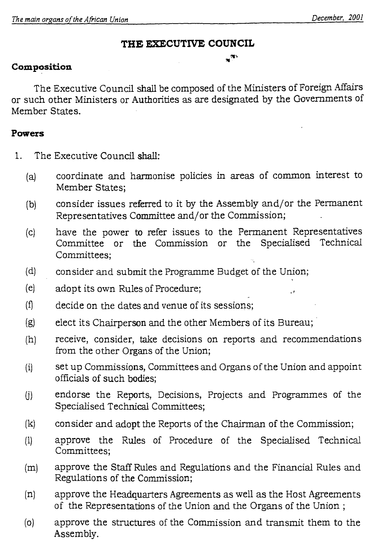$\cdot$ 

### **THE EXECUTIVE COUNCIL**

 $\mathbf{x}^{\mathbf{w}}$ 

### **Composition**

The Executive Council shall be composed of the Ministers of Foreign Affairs or such other Ministers or Authorities as are designated by the Governments of Member States.

### **Powers**

- 1. The Executive Council shall:
	- (a) coordinate and harmonise policies in areas of common interest to Member States;
	- (b) consider issues referred to it by the Assembly and/or the Permanent Representatives Committee and/or the Commission;
	- (c) have the power to refer issues to the Permanent Representatives Committee or the Commission or the Specialised Technical Committees;
	- (d) consider and submit the Programme Budget of the Union;
	- (e) adopt its own Rules of Procedure;
	- $(f)$  decide on the dates and venue of its sessions:
	- (g) elect its Chairperson and the other Members of its Bureau;
	- (h) receive, consider, take decisions on reports and recommendations from the other Organs of the Union;
	- (f) set up Commissions, Committees and Organs of the Union and appoint officials of such bodies;
	- (i) endorse the Reports, Decisions, Projects and Programmes of the Specialised Technical Committees;
	- (k) consider and adopt the Reports of the Chairman of the Commission;
	- (1) approve the Rules of Procedure of the Specialised Technical Committees;
	- (m) approve the Staff Rules and Regulations and the Financial Rules and Regulations of the Commission;
	- (n) approve the Headquarters Agreements as well as the Host Agreements of the Representations of the Union and the Organs of the Union ;
	- (o) approve the structures of the Commission and transmit them to the Assembly.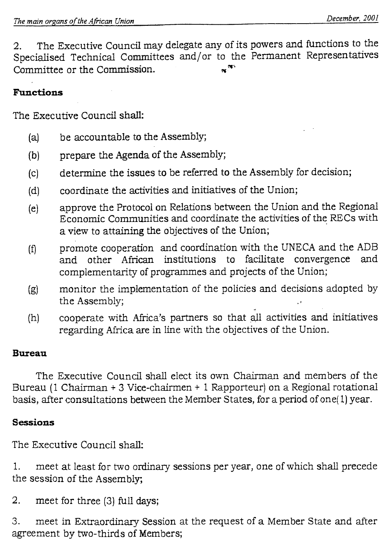2. The Executive Council may delegate any of its powers and functions to the Specialised Technical Committees and/or to the Permanent Representatives Committee or the Commission.

# **Functions**

The Executive Council shall:

- (a) be accountable to the Assembly;
- (b) prepare the Agenda of the Assembly;
- (c) determine the issues to be referred to the Assembly for decision;
- (d) coordinate the activities and initiatives of the Union;
- (e) approve the Protocol on Relations between the Union and the Regional Economic Communities and coordinate the activities of the RECs with a view to attaining the objectives of the Union;
- (f) promote cooperation and coordination with the UNECA and the ADB<br>and other African institutions to facilitate convergence and and other African institutions to facilitate convergence complementarity of programmes and projects of the Union;
- (g) monitor the implementation of the policies and decisions adopted by the Assembly;
- (h) cooperate with Africa's partners so that all activities and initiatives regarding Africa are in line with the objectives of the Union.

# **Bureau**

The Executive Council shall elect its own Chairman and members of the Bureau (1 Chairman + 3 Vice-chairmen + 1 Rapporteur) on a Regional rotational basis, after consultations between the Member States, for a period of one( 1) year.

# **Sessions**

The Executive Council shall:

1. meet at least for two ordinary sessions per year, one of which shall precede the session of the Assembly;

2. meet for three (3) full days;

3. meet in Extraordinary Session at the request of a Member State and after agreement by two-thirds of Members;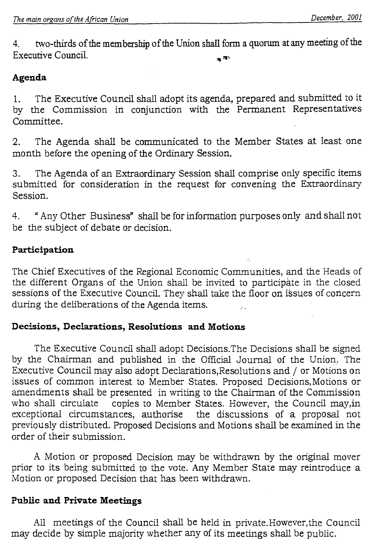4. two-thirds of the membership of the Union shall form a quorum at any meeting of the Executive Council.  $\blacksquare$ 

# **Agenda**

1. The Executive Council shall adopt its agenda, prepared and submitted to it by the Commission in conjunction with the Permanent Representatives Committee.

2. The Agenda shall be communicated to the Member States at least one month before the opening of the Ordinary Session.

3. The Agenda of an Extraordinary Session shall comprise only specific items submitted for consideration in the request for convening the Extraordinary Session.

4. " Any Other Business' shall be for information purposes only and shall not be the subject of debate or decision.

# **Participation**

The Chief Executives of the Regional Economic Communities, and the Heads of the different Organs of the Union shall be invited to participate in the closed sessions of the Executive Council. They shall take the floor on issues of concern during the deliberations of the Agenda items.

# **Decisions, Declarations, Resolutions and Motions**

The Executive Council shall adopt Decisions.The Decisions shall be signed by the Chairman and published in the Official Journal of the Union. The Executive Council may also adopt Declarations,Resolutions and / or Motions on issues of common interest to Member States. Proposed Decisions,Motions or amendments shall be presented in writing to the Chairman of the Commission who shall circulate copies to Member States. However, the Council may, in exceptional circumstances, authorise the discussions of a proposal not previously distributed. Proposed Decisions and Motions shall be examined in the order of their submission.

A Motion or proposed Decision may be withdrawn by the original mover prior to its being submitted to the vote. Any Member State may reintroduce a Motion or proposed Decision that has been withdrawn.

# **Public and Private Meetings**

All meetings of the Council shall be held in private.However,the Council may decide by simple majority whether any of its meetings shall be public.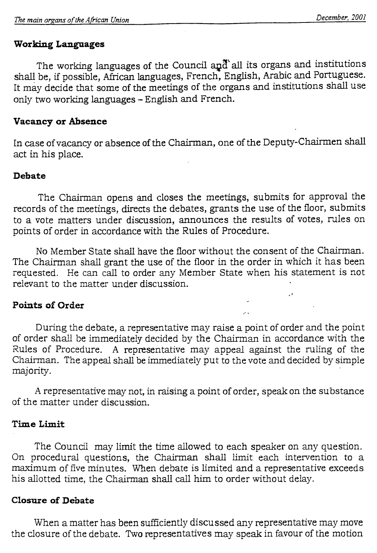# **Working Languages**

The working languages of the Council and all its organs and institutions shall be, if possible, African languages, French, English, Arabic and Portuguese. It may decide that some of the meetings of the organs and institutions shall use only two working languages - English and French.

# **Vacancy or Absence**

In case of vacancy or absence of the Chairman, one of the Deputy-Chairmen shall act in his place.

### **Debate**

The Chairman opens and closes the meetings, submits for approval the records of the meetings, directs the debates, grants the use of the floor, submits to a vote matters under discussion, announces the results of votes, rules on points of order in accordance with the Rules of Procedure.

No Member State shall have the floor without the consent of the Chairman. The Chairman shall grant the use of the floor in the order in which it has been requested. He can call to order any Member State when his statement is not relevant to the matter under discussion.

# **Points of Order**

During the debate, a representative may raise a point of order and the point of order shall be immediately decided by the Chairman in accordance with the Rules of Procedure. A representative may appeal against the ruling of the Chairman. The appeal shall be immediately put to the vote and decided by simple majority.

A representative may not, in raising a point of order, speak on the substance of the matter under discussion.

# **Time Limit**

The Council may limit the time allowed to each speaker on any question. On procedural questions, the Chairman shall limit each intervention to a maximum of five minutes. When debate is limited and a representative exceeds his allotted time, the Chairman shall call him to order without delay.

# **Closure of Debate**

When a matter has been sufficiently discussed any representative may move the closure of the debate. Two representatives may speak in favour of the motion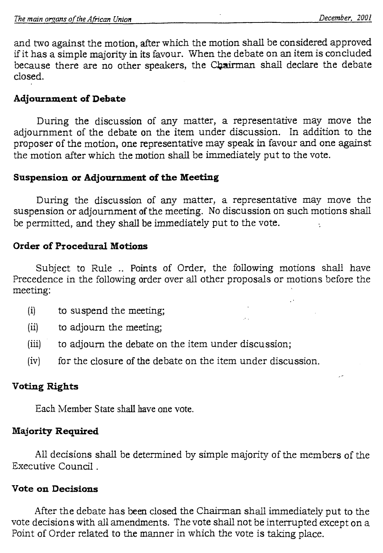and two against the motion, after which the motion shall be considered approved if it has a simple majority in its favour. When the debate on an item is concluded because there are no other speakers, the Chairman shall declare the debate closed.

# **Adjournment of Debate**

During the discussion of any matter, a representative may move the adjournment of the debate on the item under discussion. In addition to the proposer of the motion, one representative may speak in favour and one against the motion after which the motion shall be immediately put to the vote.

# **Suspension or Adjournment of the Meeting**

During the discussion of any matter, a representative may move the suspension or adjournment of the meeting. No discussion on such motions shall be permitted, and they shall be immediately put to the vote.

# **Order of Procedural Motions**

Subject to Rule .. Points of Order, the following motions shall have Precedence in the following order over all other proposals or motions before the meeting:

- (i) to suspend the meeting;
- (ii) to adjourn the meeting;
- (iii) to adjourn the debate on the item under discussion;
- (iv) for the closure of the debate on the item under discussion.

# **Voting Rights**

Each Member State shall have one vote.

# **Majority Required**

All decisions shall be determined by simple majority of the members of the Executive Council .

### **Vote on Decisions**

After the debate has been closed the Chairman shall immediately put to the vote decisions with all amendments. The vote shall not be interrupted except on a Point of Order related to the manner in which the vote is taking place.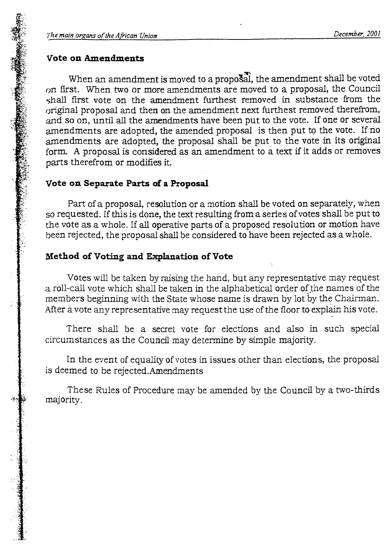#### **Vote on Amendments**

When an amendment is moved to a proposal, the amendment shall be voted on first. When two or more amendments are moved to a proposal, the Council shall first vote on the amendment furthest removed in substance from the original proposal and then on the amendment next furthest removed therefrom, and so on, until all the amendments have been put to the vote. If one or several amendments are adopted, the amended proposal is then put to the vote. If no amendments are adopted, the proposal shall be put to the vote in its original form. A proposal is considered as an amendment to a text if it adds or removes parts therefrom or modifies it.

#### **Vote on Separate Parts of a Proposal**

Part of a proposal, resolution or a motion shall be voted on separately, when so requested. If this is done, the text resulting from a series of votes shall be put to the vote as a whole. If alloperative parts of a proposed resolution or motion have been rejected, the proposal shall be considered to have been rejected as a whole.

#### **Method of Voting and Explanation of Vote**

Votes will be taken by raising the hand, but any representative may request a roll-call vote which shall be taken in the alphabetical order of the names of the members beginning with the State whose name is drawn by lot by the Chairman. After a vote any representative may request the use of the floor to explain his vote.

There shall be a secret vote for elections and also in such special circumstances as the Council may determine by simple majority.

In the event of equality of votes in issues other than elections, the proposal is deemed to be rejected.Amendments

These Rules of Procedure may be amended by the Council by a two-thirds majority.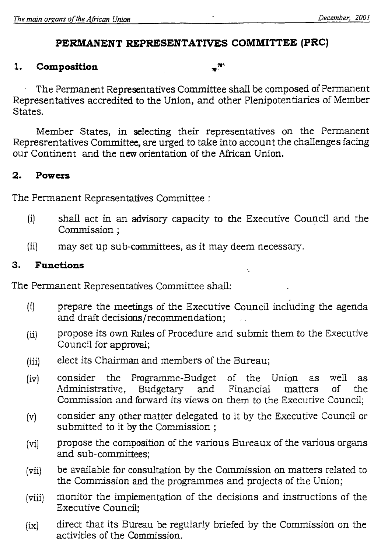### **PERMANENT REPRESENTATIVES COMMITTEE (PRC)**

 $\mathbf{w}$ 

### **1. Composition**

The Permanent Representatives Committee shall be composed of Permanent Representatives accredited to the Union, and other Plenipotentiaries of Member States.

Member States, in selecting their representatives on the Permanent Represrentatives Committee, are urged to take into account the challenges facing our Continent and the new orientation of the African Union.

### **2. Powers**

The Permanent Representatives Committee :

- (i) shall act in an advisory capacity to the Executive Council and the Commission ;
- (ii) may set up sub-committees, as it may deem necessary.

### **3. Functions**

The Permanent Representatives Committee shall:

- (i) prepare the meetings of the Executive Council including the agenda and draft decisions/recommendation;
- (ii) propose its own Rules of Procedure and submit them to the Executive Council for approval;
- (iii) elect its Chairman and members of the Bureau;
- (iv) consider the Programme-Budget of the Union as well as Administrative, Commission and forward its views on them to the Executive Council;
- consider any other matter delegated to it by the Executive Council or  $(v)$ submitted to it by the Commission ;
- propose the composition of the various Bureaux of the various organs  $(vi)$ and sub-committees;
- be available for consultation by the Commission on matters related to  $(vii)$ the Commission and the programmes and projects of the Union;
- monitor the implementation of the decisions and instructions of the  $(viii)$ Executive Council;
- direct that its Bureau be regularly briefed by the Commission on the  $(ix)$ activities of the Commission.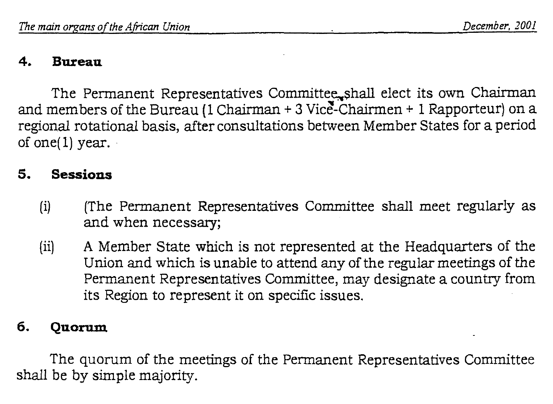#### **4. Bureau**

The Permanent Representatives Committee shall elect its own Chairman and members of the Bureau (1 Chairman  $+$  3 Vice-Chairmen  $+$  1 Rapporteur) on a regional rotational basis, after consultations between Member States for a period of one(1) year.

### **5. Sessions**

- U) (The Permanent Representatives Committee shall meet regularly as and when necessary;
- (ii) A Member State which is not represented at the Headquarters of the Union and which is unable to attend any of the regular meetings of the Permanent Representatives Committee, may designate a country from its Region to represent it on specific issues.

### **6. Quorum**

The quorum of the meetings of the Permanent Representatives Committee shall be by simple majority.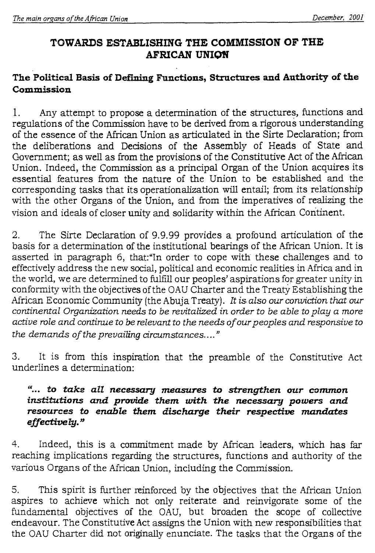# **TOWARDS ESTABLISHING THE COMMISSION OF THE AFRICAN UNION**

# **The Political Basis of Defining Functions, Structures and Authority of the Commission**

1. Any attempt to propose a determination of the structures, functions and regulations of the Commission have to be derived from a rigorous understanding of the essence of the African Union as articulated in the Sirte Declaration; from the deliberations and Decisions of the Assembly of Heads of State and Government; as well as from the provisions of the Constitutive Act of the African Union. Indeed, the Commission as a principal Organ of the Union acquires its essential features from the nature of the Union to be established and the corresponding tasks that its operationalization will entail; from its relationship with the other Organs of the Union, and from the imperatives of realizing the vision and ideals of closer unity and solidarity within the African Continent.

2. The Sirte Declaration of 9.9.99 provides a profound articulation of the basis for a determination of the institutional bearings of the African Union. It is asserted in paragraph 6, that:"In order to cope with these challenges and to effectively address the new social, political and economic realities in Africa and in the world, we are determined to fulfill our peoples' aspirations for greater unity in conformity with the objectives of the OAU Charter and the Treaty Establishing the African Economic Community (the Abuja Treaty). *it is also our conviction that our continental Organization needs to be revitalized in order to be able to play a more active role and continue to be relevant to the needs of our peoples and responsive to the demands of the prevailing circumstances...."* 

3. It is from this inspiration that the preamble of the Constitutive Act underlines a determination:

### *"... to take all necessary measures to strengthen our common institutions and provide them with the necessary powers and resources to enable them discharge their respective mandates effectively."*

4. Indeed, this is a commitment made by African leaders, which has far reaching implications regarding the structures, functions and authority of the various Organs of the African Union, including the Commission.

5. This spirit is further reinforced by the objectives that the African Union aspires to achieve which not only reiterate and reinvigorate some of the fundamental objectives of the OAU, but broaden the scope of collective endeavour. The Constitutive Act assigns the Union with new responsibilities that the OAU Charter did not originally enunciate. The tasks that the Organs of the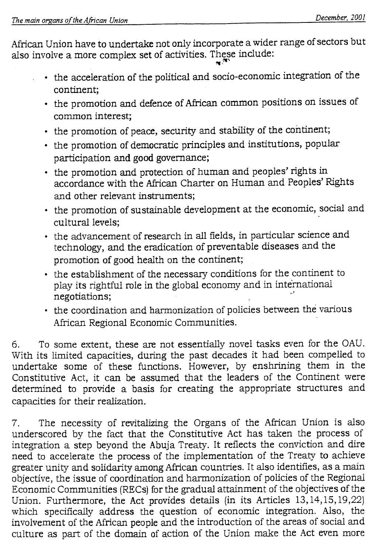African Union have to undertake not only incorporate a wider range of sectors but also involve a more complex set of activities. These include:

- the acceleration of the political and socio-economic integration of the continent;
- the promotion and defence of African common positions on issues of common interest;
- the promotion of peace, security and stability of the continent;
- the promotion of democratic principles and institutions, popular participation and good governance;
- the promotion and protection of human and peoples' rights in accordance with the African Charter on Human and Peoples' Rights and other relevant instruments;
- the promotion of sustainable development at the economic, social and cultural levels;
- the advancement of research in all fields, in particular science and technology, and the eradication of preventable diseases and the promotion of good health on the continent;
- the establishment of the necessary conditions for the continent to play its rightful role in the global economy and in international negotiations;
- the coordination and harmonization of policies between the various African Regional Economic Communities.

6. To some extent, these are not essentially novel tasks even for the OAU. With its limited capacities, during the past decades it had been compelled to undertake some of these functions. However, by enshrining them in the Constitutive Act, it can be assumed that the leaders of the Continent were determined to provide a basis for creating the appropriate structures and capacities for their realization.

7. The necessity of revitalizing the Organs of the African Union is also underscored by the fact that the Constitutive Act has taken the process of integration a step beyond the Abuja Treaty. It reflects the conviction and dire need to accelerate the process of the implementation of the Treaty to achieve greater unity and solidarity among African countries. It also identifies, as a main objective, the issue of coordination and harmonization of policies of the Regional Economic Communities (RECs) for the gradual attainment of the objectives of the Union. Furthermore, the Act provides details (in its Articles 13,14,15,19,22) which specifically address the question of economic integration. Also, the involvement of the African people and the introduction of the areas of social and culture as part of the domain of action of the Union make the Act even more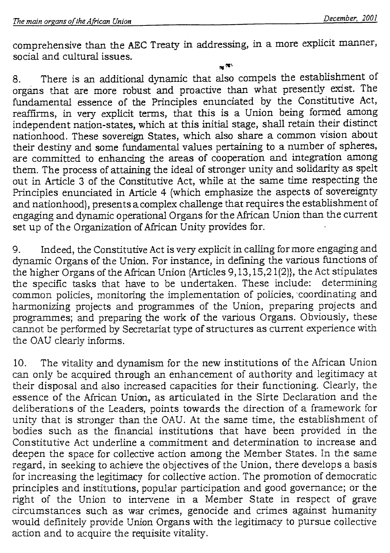comprehensive than the AEC Treaty in addressing, in. a more explicit manner, social and cultural issues.

 $m^{(n)}$ 

8. There is an additional dynamic that also compels the establishment of organs that are more robust and proactive than what presently exist. The fundamental essence of the Principles enunciated by the Constitutive Act, reaffirms, in very explicit terms, that this is a Union being formed among independent nation-states, which at this initial stage, shall retain their distinct nationhood. These sovereign States, which also share a common vision about their destiny and some fundamental values pertaining to a number of spheres, are committed to enhancing the areas of cooperation and integration among them. The process of attaining the ideal of stronger unity and solidarity as spelt out in Article 3 of the Constitutive Act, while at the same time respecting the Principles enunciated in Article 4 (which emphasize the aspects of sovereignty and nationhood), presents a complex challenge that requires the establishment of engaging and dynamic operational Organs for the African Union than the current set up of the Organization of African Unity provides for.

9. Indeed, the Constitutive Act is very explicit in calling for more engaging and dynamic Organs of the Union. For instance, in defining the various functions of the higher Organs of the African Union {Articles  $9,13,15,21(2)$ }, the Act stipulates the specific tasks that have to be undertaken. These include: determining the specific tasks that have to be undertaken. These include: common policies, monitoring the implementation of policies, 'coordinating and harmonizing projects and programmes of the Union, preparing projects and programmes; and preparing the work of the various Organs. Obviously, these cannot be performed by Secretariat type of structures as current experience with the OAU clearly informs.

10. The vitality and dynamism for the new institutions of the African Union can only be acquired through an enhancement of authority and legitimacy at their disposal and also increased capacities for their functioning. Clearly, the essence of the African Union, as articulated in the Sirte Declaration and the deliberations of the Leaders, points towards the direction of a framework for unity that is stronger than the OAU. At the same time, the establishment of bodies such as the financial institutions that have been provided in the Constitutive Act underline a commitment and determination to increase and deepen the space for collective action among the Member States. In the same regard, in seeking to achieve the objectives of the Union, there develops a basis for increasing the legitimacy for collective action. The promotion of democratic principles and institutions, popular participation and good governance; or the right of the Union to intervene in a Member State in respect of grave circumstances such as war crimes, genocide and crimes against humanity would definitely provide Union Organs with the legitimacy to pursue collective action and to acquire the requisite vitality.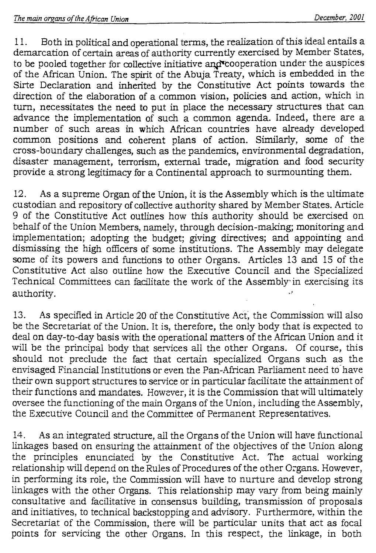11. Both in political and operational terms, the realization of this ideal entails a demarcation of certain areas of authority currently exercised by Member States, to be pooled together for collective initiative and cooperation under the auspices of the African Union. The spirit of the Abuja Treaty, which is embedded in the Sirte Declaration and inherited by the Constitutive Act points towards the direction of the elaboration of a common vision, policies and action, which in turn, necessitates the need to put in place the necessary structures that can advance the implementation of such a common agenda. Indeed, there are a number of such areas in which African countries have already developed common positions and coherent plans of action. Similarly, some of the cross-boundary challenges, such as the pandemics, environmental degradation, disaster management, terrorism, external trade, migration and food security provide a strong legitimacy for a Continental approach to surmounting them.

12. As a supreme Organ of the Union, it is the Assembly which is the ultimate custodian and repository of collective authority shared by Member States. Article 9 of the Constitutive Act outlines how this authority should be exercised on behalf of the Union Members, namely, through decision-making; monitoring and implementation; adopting the budget; giving directives; and appointing and dismissing the high officers of some institutions. The Assembly may delegate some of its powers and functions to other Organs. Articles 13 and 15 of the Constitutive Act also outline how the Executive Council and the Specialized Technical Committees can facilitate the work of the Assembly in exercising its authority.

13. As specified in Article 20 of the Constitutive Act, the Commission will also be the Secretariat of the Union. It is, therefore, the only body that is expected to deal on day-to-day basis with the operational matters of the African Union and it will be the principal body that services all the other Organs. Of course, this should not preclude the fact that certain specialized Organs such as the envisaged Financial Institutions or even the Pan-African Parliament need to have their own support structures to service or in particular facilitate the attainment of their functions and mandates. However, it is the Commission that will ultimately oversee the functioning of the main Organs of the Union, including the Assembly, the Executive Council and the Committee of Permanent Representatives.

14. As an integrated structure, all the Organs of the Union will have functional linkages based on ensuring the attainment of the objectives of the Union along the principles enunciated by the Constitutive Act. The actual working relationship will depend on the Rules of Procedures of the other Organs. However, in performing its role, the Commission will have to nurture and develop strong linkages with the other Organs. This relationship may vary from being mainly consultative and facilitative in consensus building, transmission of proposals and initiatives, to technical backstopping and advisory. Furthermore, within the Secretariat of the Commission, there will be particular units that act as focal points for servicing the other Organs. In this respect, the linkage, in both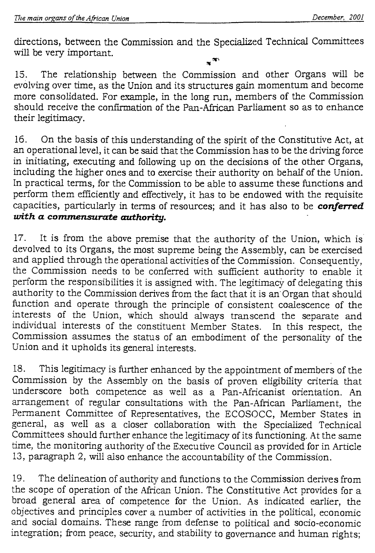directions, between the Commission and the Specialized Technical Committees will be very important.

15. The relationship between the Commission and other Organs will be evolving over time, as the Union and its structures gain momentum and become more consolidated. For example, in the long run, members of the Commission should receive the confirmation of the Pan-African Parliament so as to enhance their legitimacy.

16. On the basis of this understanding of the spirit of the Constitutive Act, at an operational level, it can be said that the Commission has to be the driving force in initiating, executing and following up on the decisions of the other Organs, including the higher ones and to exercise their authority on behalf of the Union. In practical terms, for the Commission to be able to assume these functions and perform them efficiently and effectively, it has to be endowed with the requisite capacities, particularly in terms of resources; and it has also to be *conferred with a commensurate authority.* 

17. It is from the above premise that the authority of the Union, which is devolved to its Organs, the most supreme being the Assembly, can be exercised and applied through the operational activities of the Commission. Consequently, the Commission needs to be conferred with sufficient authority to enable it perform the responsibilities it is assigned with. The legitimacy of delegating this authority to the Commission derives from the fact that it is an• Organ that should function and operate through the principle of consistent coalescence of the interests of the Union, which should always transcend the separate and individual interests of the constituent Member States. In this respect, the Commission assumes the status of an embodiment of the personality of the Union and it upholds its general interests.

18. This legitimacy is further enhanced by the appointment of members of the Commission by the Assembly on the basis of proven eligibility criteria that underscore both competence as well as a Pan-Africanist orientation. An arrangement of regular consultations with the Pan-African Parliament, the Permanent Committee of Representatives, the ECOSOCC, Member States in general, as well as a closer collaboration with the Specialized Technical Committees should further enhance the legitimacy of its functioning. At the same time, the monitoring authority of the Executive Council as provided for in Article 13, paragraph 2, will also enhance the accountability of the Commission.

19. The delineation of authority and functions to the Commission derives from the scope of operation of the African Union. The Constitutive Act provides for a broad general area of competence for the Union. As indicated earlier, the objectives and principles cover a number of activities in the political, economic and social domains. These range from defense to political and socio-economic integration; from peace, security, and stability to governance and human rights;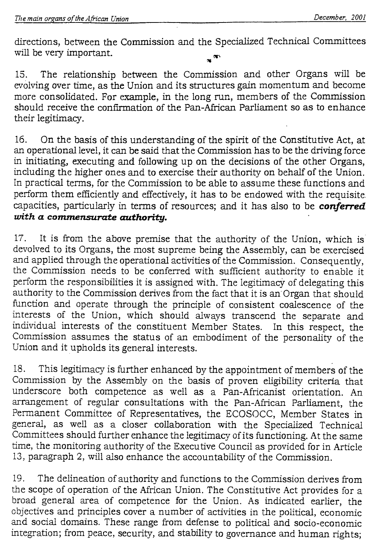directions, between the Commission and the Specialized Technical Committees will be very important.

15. The relationship between the Commission and other Organs will be evolving over time, as the Union and its structures gain momentum and become more consolidated. For example, in the long run, members of the Commission should receive the confirmation of the Pan-African Parliament so as to enhance their legitimacy.

16. On the basis of this understanding of the spirit of the Constitutive Act, at an operational level, it can be said that the Commission has to be the driving force in initiating, executing and following up on the decisions of the other Organs, including the higher ones and to exercise their authority on behalf of the Union. In practical terms, for the Commission to be able to assume these functions and perform them efficiently and effectively, it has to be endowed with the requisite capacities, particularly in terms of resources; and it has also to be *conferred with a commensurate authority.* 

17. It is from the above premise that the authority of the Union, which is devolved to its Organs, the most supreme being the Assembly, can be exercised and applied through the operational activities of the Commission. Consequently, the Commission needs to be conferred with sufficient authority to enable it perform the responsibilities it is assigned with. The legitimacy of delegating this authority to the Commission derives from the fact that it is an" Organ that should function and operate through the principle of consistent coalescence of the interests of the Union, which should always transcend the separate and individual interests of the constituent Member States. Commission assumes the status of an embodiment of the personality of the Union and it upholds its general interests.

18. This legitimacy is further enhanced by the appointment of members of the Commission by the Assembly on the basis of proven eligibility criteria that underscore both competence as well as a Pan-Africanist orientation. An arrangement of regular consultations with the Pan-African Parliament, the Permanent Committee of Representatives, the ECOSOCC, Member States in general, as well as a closer collaboration with the Specialized Technical Committees should further enhance the legitimacy of its functioning. At the same time, the monitoring authority of the Executive Council as provided for in Article 13, paragraph 2, will also enhance the accountability of the Commission.

19. The delineation of authority and functions to the Commission derives from the scope of operation of the African Union. The Constitutive Act provides for a broad general area of competence for the Union. As indicated earlier, the objectives and principles cover a number of activities in the political, economic and social domains. These range from defense to political and socio-economic integration; from peace, security, and stability to governance and human rights;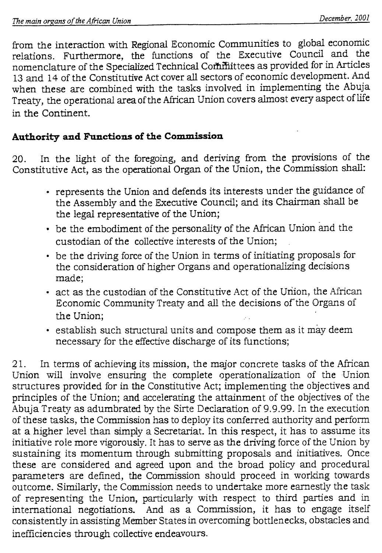from the interaction with Regional Economic Communities to global economic relations. Furthermore, the functions of the Executive Council and the nomenclature of the Specialized Technical Committees as provided for in Articles 13 and 14 of the Constitutive Act cover all sectors of economic development. And when these are combined with the tasks involved in implementing the Abuja Treaty, the operational area of the African Union covers almost every aspect of life in the Continent.

# **Authority and Functions of the Commission**

20. In the light of the foregoing, and deriving from the provisions of the Constitutive Act, as the operational Organ of the Union, the Commission shall:

- represents the Union and defends its interests under the guidance of the Assembly and the Executive Council; and its Chairman shall be the legal representative of the Union;
- be the embodiment of the personality of the African Union and the custodian of the collective interests of the Union;
- be the driving force of the Union in terms of initiating proposals for the consideration of higher Organs and operationalizing decisions made;
- act as the custodian of the Constitutive Act of the Union, the African Economic Community Treaty and all the decisions of the Organs of the Union;
- establish such structural units and compose them as it may deem necessary for the effective discharge of its functions;

21. In terms of achieving its mission, the major concrete tasks of the African Union will involve ensuring the complete operationalization of the Union structures provided for in the Constitutive Act; implementing the objectives and principles of the Union; and accelerating the attainment of the objectives of the Abuja Treaty as adumbrated by the Sirte Declaration of 9.9.99. In the execution of these tasks, the Commission has to deploy its conferred authority and perform at a higher level than simply a Secretariat. In this respect, it has to assume its initiative role more vigorously. It has to serve as the driving force of the Union by sustaining its momentum through submitting proposals and initiatives. Once these are considered and agreed upon and the broad policy and procedural parameters are defined, the Commission should proceed in working towards outcome. Similarly, the Commission needs to undertake more earnestly the task of representing the Union, particularly with respect to third parties and in international negotiations. And as a Commission, it has to engage itself consistently in assisting Member States in overcoming bottlenecks, obstacles and inefficiencies through collective endeavours.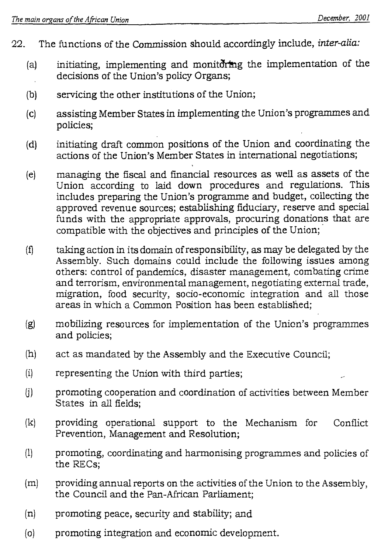- 22. The functions of the Commission should accordingly include, *inter-alia:* 
	- (a) initiating, implementing and monitoring the implementation of the decisions of the Union's policy Organs;
	- (b) servicing the other institutions of the Union;
	- (c) assisting Member States in implementing the Union's programmes and policies;
	- (d) initiating draft common positions of the Union and coordinating the actions of the Union's Member States in international negotiations;
	- (e) managing the fiscal and financial resources as well as assets of the Union according to laid down procedures and regulations. This includes preparing the Union's programme and budget, collecting the approved revenue sources; establishing fiduciary, reserve and special funds with the appropriate approvals, procuring donations that are compatible with the objectives and principles of the Union;
	- (f) taking action in its domain of responsibility, as may be delegated by the Assembly. Such domains could include the following issues among others: control of pandemics, disaster management, combating crime and terrorism, environmental management, negotiating external trade, migration, food security, socio-economic integration and all those areas in which a Common Position has been established;
	- (g) mobilizing resources for implementation of the Union's programmes and policies;
	- (h) act as mandated by the Assembly and the Executive Council;
	- (i) representing the Union with third parties;
	- (i) promoting cooperation and coordination of activities between Member States in all fields;
	- (k) providing operational support to the Mechanism for Conflict Prevention, Management and Resolution;
	- (1) promoting, coordinating and harmonising programmes and policies of the RECs;
	- (m) providing annual reports on the activities of the Union to the Assembly, the Council and the Pan-African Parliament;
	- (n) promoting peace, security and stability; and
	- (o) promoting integration and economic development.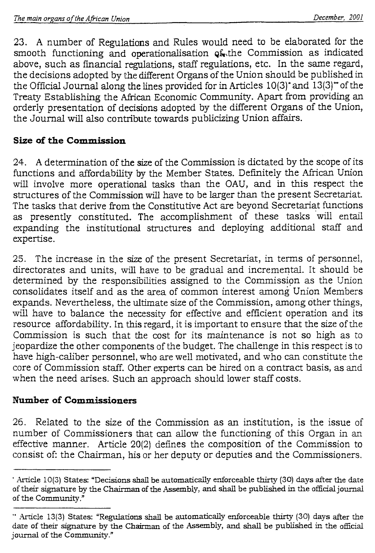23. A number of Regulations and Rules would need to be elaborated for the smooth functioning and operationalisation of the Commission as indicated above, such as financial regulations, staff regulations, etc. In the same regard, the decisions adopted by the different Organs of the Union should be published in the Official Journal along the lines provided for in Articles 10(3)\* and 13(3)—of the Treaty Establishing the African Economic Community. Apart from providing an orderly presentation of decisions adopted by the different Organs of the Union, the Journal will also contribute towards publicizing Union affairs

# **Size of the Commission**

24. A determination of the size of the Commission is dictated by the scope of its functions and affordability by the Member States. Definitely the African Union will involve more operational tasks than the OAU, and in this respect the structures of the Commission will have to be larger than the present Secretariat. The tasks that derive from the Constitutive Act are beyond Secretariat functions as presently constituted. The accomplishment of these tasks will entail expanding the institutional structures and deploying additional staff and expertise.

25. The increase in the size of the present Secretariat, in terms of personnel, directorates and units, will have to be gradual and incremental. It should be determined by the responsibilities assigned to the Commission as the Union consolidates itself and as the area of common interest among Union Members expands. Nevertheless, the ultimate size of the Commission, among other things, will have to balance the necessity for effective and efficient operation and its resource affordability. In this regard, it is important to ensure that the size of the Commission is such that the cost for its maintenance is not so high as to jeopardize the other components of the budget. The challenge in this respect is to have high-caliber personnel, who are well motivated, and who can constitute the core of Commission staff. Other experts can be hired on a contract basis, as and when the need arises. Such an approach should lower staff costs.

# **Number of Commissioners**

26. Related to the size of the Commission as an institution, is the issue of number of Commissioners that can allow the functioning of this Organ in an effective manner. Article 20(2) defines the composition of the Commission to consist of: the Chairman, his or her deputy or deputies and the Commissioners.

<sup>&#</sup>x27; Article 10(3) States: "Decisions shall be automatically enforceable thirty (30) days after the date of their signature by the Chairman of the Assembly, and shall be published in the official journal of the Community."

Article 13(3) States: "Regulations shall be automatically enforceable thirty (30) days after the date of their signature by the Chairman of the Assembly, and shall be published in the official journal of the Community."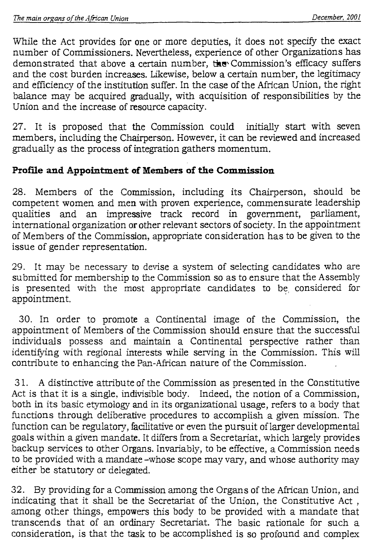While the Act provides for one or more deputies, it does not specify the exact number of Commissioners. Nevertheless, experience of other Organizations has demonstrated that above a certain number, the Commission's efficacy suffers and the cost burden increases. Likewise, below a certain number, the legitimacy and efficiency of the institution suffer. In the case of the African Union, the right balance may be acquired gradually, with acquisition of responsibilities by the Union and the increase of resource capacity.

27. It is proposed that the Commission could initially start with seven members, including the Chairperson. However, it can be reviewed and increased gradually as the process of integration gathers momentum.

# **Profile and Appointment of Members of the Commission**

28. Members of the Commission, including its Chairperson, should be competent women and men with proven experience, commensurate leadership qualities and an impressive track record in government, parliament, international organization or other relevant sectors of society. In the appointment of Members of the Commission, appropriate consideration has to be given to the issue of gender representation.

29. It may be necessary to devise a system of selecting candidates who are submitted for membership to the Commission so as to ensure that the Assembly is presented with the most appropriate candidates to be considered for appointment.

30. In order to promote a Continental image of the Commission, the appointment of Members of the Commission should ensure that the successful individuals possess and maintain a Continental perspective rather than identifying with regional interests while serving in the Commission. This will contribute to enhancing the Pan-African nature of the Commission.

31. A distinctive attribute of the Commission as presented in the Constitutive Act is that it is a single, indivisible body. Indeed, the notion of a Commission, both in its basic etymology and in its organizational usage, refers to a body that functions through deliberative procedures to accomplish a given mission. The function can be regulatory, facilitative or even the pursuit of larger developmental goals within a given mandate. It differs from a Secretariat, which largely provides backup services to other Organs. Invariably, to be effective, a Commission needs to be provided with a mandate -whose scope may vary, and whose authority may either be statutory or delegated.

32. By providing for a Commission among the Organs of the African Union, and indicating that it shall be the Secretariat of the Union, the Constitutive Act , among other things, empowers this body to be provided with a mandate that transcends that of an ordinary Secretariat. The basic rationale for such a consideration, is that the task to be accomplished is so profound and complex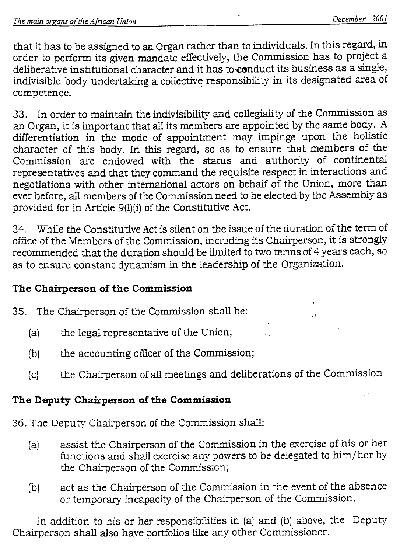that it has to be assigned to an Organ rather than to individuals. In this regard, in order to perform its given mandate effectively, the Commission has to project a deliberative institutional character and it has to conduct its business as a single, indivisible body undertaking a collective responsibility in its designated area of competence.

33. In order to maintain the indivisibility and collegiality of the Commission as an Organ, it is important that all its members are appointed by the same body. A differentiation in the mode of appointment may impinge upon the holistic character of this body. In this regard, so as to ensure that members of the Commission are endowed with the status and authority of continental representatives and that they command the requisite respect in interactions and negotiations with other international actors on behalf of the Union, more than ever before, all members of the Commission need to be elected by the Assembly as provided for in Article 9(1)(i) of the Constitutive Act.

34. While the Constitutive Act is silent on the issue of the duration of the term of office of the Members of the Commission, including its Chairperson, it is strongly recommended that the duration should be limited to two terms of 4 years each, so as to ensure constant dynamism in the leadership of the Organization.

# **The Chairperson of the Commission**

35. The Chairperson of the Commission shall be:

- (a) the legal representative of the Union;
- (b) the accounting officer of the Commission;
- (c) the Chairperson of allmeetings and deliberations of the Commission

# **The Deputy Chairperson of the Commission**

36. The Deputy Chairperson of the Commission shall:

- (a) assist the Chairperson of the Commission in the exercise of his or her functions and shall exercise any powers to be delegated to him/her by the Chairperson of the Commission;
- (b) act as the Chairperson of the Commission in the event of the absence or temporary incapacity of the Chairperson of the Commission.

In addition to his or her responsibilities in (a) and (b) above, the Deputy Chairperson shall also have portfolios like any other Commissioner.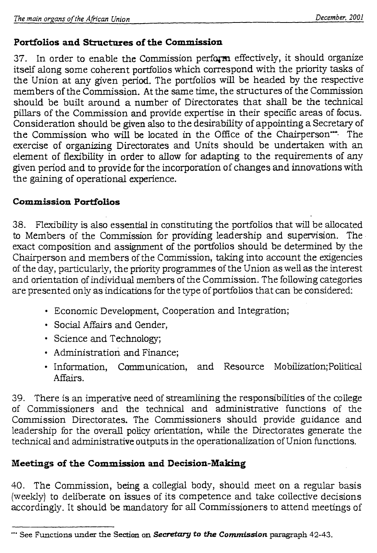# **Portfolios and Structures of the Commission**

37. In order to enable the Commission perform effectively, it should organize itself along some coherent portfolios which correspond with the priority tasks of the Union at any given period. The portfolios will be headed by the respective members of the Commission. At the same time, the structures of the Commission should be built around a number of Directorates that shall be the technical pillars of the Commission and provide expertise in their specific areas of focus. Consideration should be given also to the desirability of appointing a Secretary of the Commission who will be located in the Office of the Chairperson<sup>---</sup>. The exercise of organizing Directorates and Units should be undertaken with an element of flexibility in order to allow for adapting to the requirements of any given period and to provide for the incorporation of changes and innovations with the gaining of operational experience.

# **Commission Portfolios**

38. Flexibility is also essential in constituting the portfolios that will be allocated to Members of the Commission for providing leadership and supervision. The exact composition and assignment of the portfolios should be determined by the Chairperson and members of the Commission, taking into account the exigencies of the day, particularly, the priority programmes of the Union as well as the interest and orientation of individual members of the Commission. The following categories are presented only as indications for the type of portfolios that can be considered:

- Economic Development, Cooperation and Integration;
- Social Affairs and Gender,
- Science and Technology;
- Administration and Finance;
- Information, Communication, and Resource Mobilization;Political Affairs.

39. There is an imperative need of streamlining the responsibilities of the college of Commissioners and the technical and administrative functions of the Commission Directorates. The Commissioners should provide guidance and leadership for the overall policy orientation, while the Directorates generate the technical and administrative outputs in the operationalization of Union functions.

# **Meetings of the Commission and Decision-Making**

40. The Commission, being a collegial body, should meet on a regular basis (weekly) to deliberate on issues of its competence and take collective decisions accordingly. It should be mandatory for all Commissioners to attend meetings of

<sup>\*\*\*</sup> See Functions under the Section on *Secretary to the Commission* paragraph 42-43.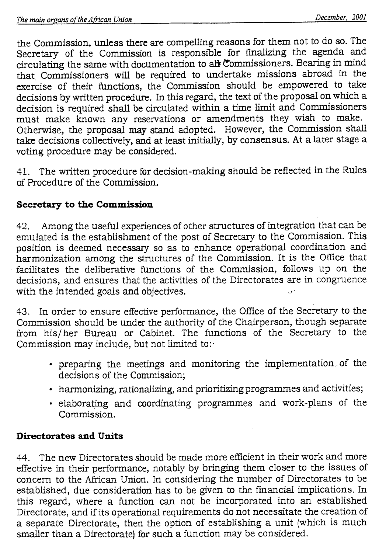the Commission, unless there are compelling reasons for them not to do so. The Secretary of the Commission is responsible for finalizing the agenda and circulating the same with documentation to alit commissioners. Bearing in mind that. Commissioners will be required to undertake missions abroad in the exercise of their functions, the Commission should be empowered to take decisions by written procedure. In this regard, the text of the proposal on which a decision is required shall be circulated within a time limit and Commissioners must make known any reservations or amendments they wish to make. Otherwise, the proposal may stand adopted. However, the Commission shall take decisions collectively, and at least initially, by consensus. At a later stage a voting procedure may be considered.

41. The written procedure for decision-making should be reflected in the Rules of Procedure of the Commission.

# **Secretary to the Commission**

42. Among the useful experiences of other structures of integration that can be emulated is the establishment of the post of Secretary to the Commission. This position is deemed necessary so as to enhance operational coordination and harmonization among the structures of the Commission. It is the Office that facilitates the deliberative functions of the Commission, follows up on the decisions, and ensures that the activities of the Directorates are in congruence with the intended goals and objectives.

43. In order to ensure effective performance, the Office of the Secretary to the Commission should be under the authority of the Chairperson, though separate from his/her Bureau or Cabinet. The functions of the Secretary to the Commission may include, but not limited to:

- preparing the meetings and monitoring the implementation . of the decisions of the Commission;
- harmonizing, rationalizing, and prioritizing programmes and activities;
- elaborating and coordinating programmes and work-plans of the Commission.

# **Directorates and Units**

44. The new Directorates should be made more efficient in their work and more effective in their performance, notably by bringing them closer to the issues of concern to the African Union. In considering the number of Directorates to be established, due consideration has to be given to the financial implications. In this regard, where a function can not be incorporated into an established Directorate, and if its operational requirements do not necessitate the creation of a separate Directorate, then the option of establishing a unit (which is much smaller than a Directorate) for such a function may be considered.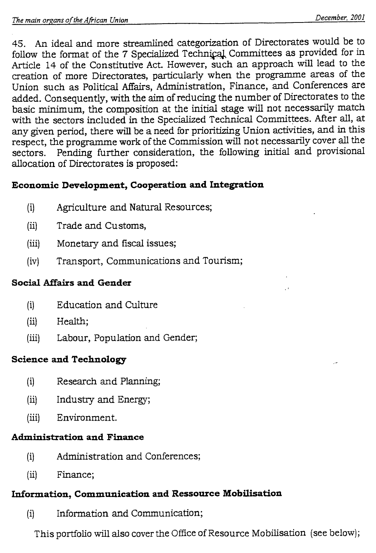45. An ideal and more streamlined categorization of Directorates would be to follow the format of the 7 Specialized Technical Committees as provided for in Article 14 of the Constitutive Act. However, such an approach will lead to the creation of more Directorates, particularly when the programme areas of the Union such as Political Affairs, Administration, Finance, and Conferences are added. Consequently, with the aim of reducing the number of Directorates to the basic minimum, the composition at the initial stage will not necessarily match with the sectors included in the Specialized Technical Committees. After all, at any given period, there will be a need for prioritizing Union activities, and in this respect, the programme work of the Commission will not necessarily cover all the sectors. Pending further consideration, the following initial and provisional allocation of Directorates is proposed:

# **Economic Development, Cooperation and Integration**

- (i) Agriculture and Natural Resources;
- (ii) Trade and Customs,
- (iii) Monetary and fiscal issues;
- (iv) Transport, Communications and Tourism;

# **Social Affairs and Gender**

- (i) Education and Culture
- (ii) Health;
- (iii) Labour, Population and Gender;

# **Science and Technology**

- (i) Research and Planning;
- (ii) Industry and Energy;
- (iii) Environment.

# **Administration and Finance**

- (i) Administration and Conferences;
- (ii) Finance;

# **Information, Communication and Ressource Mobilisation**

(i) Information and Communication;

This portfolio will also cover the Office of Resource Mobilisation (see below);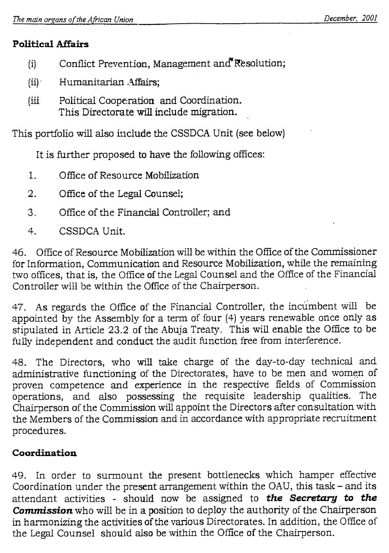# **Political Affairs**

- (i) Conflict Prevention, Management and Resolution;
- (ii)- Humanitarian Affairs;
- (iii Political Cooperation and Coordination. This Directorate will include migration.

This portfolio will also include the CSSDCA Unit (see below)

It is further proposed to have the following offices:

- 1. Office of Resource Mobilization
- 2. Office of the Legal Counsel;
- 3. Office of the Financial Controller; and
- 4. CSSDCA Unit.

46. Office of Resource Mobilization will be within the Office of the Commissioner for Information, Communication and Resource Mobilization, while the remaining two offices, that is, the Office of the Legal Counsel and the Office of the Financial Controller will be within the Office of the Chairperson.

47. As regards the Office of the Financial Controller, the incumbent will be appointed by the Assembly for a term of four (4) years renewable once only as stipulated in Article 23.2 of the Abuja Treaty. This will enable the Office to be fully independent and conduct the audit function free from interference.

48. The Directors, who will take charge of the day-to-day technical and administrative functioning of the Directorates, have to be men and women of proven competence and experience in the respective fields of Commission operations, and also possessing the requisite leadership qualities. The Chairperson of the Commission will appoint the Directors after consultation with the Members of the Commission and in accordance with appropriate recruitment procedures.

# **Coordination**

49. In order to surmount the present bottlenecks which hamper effective Coordination under the present arrangement within the OAU, this task — and its attendant activities - should now be assigned to *the Secretary to the Commission* who will be in a position to deploy the authority of the Chairperson in harmonizing the activities of the various Directorates. In addition, the Office of the Legal Counsel should also be within the Office of the Chairperson.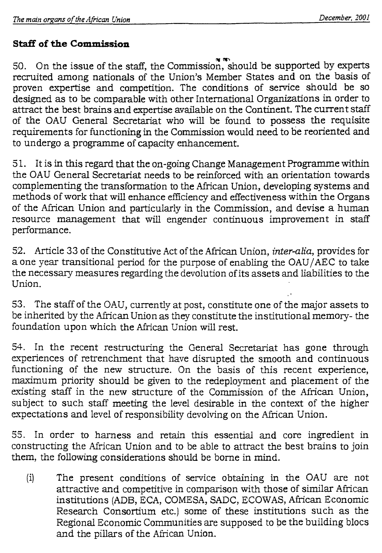# **Staff of the Commission**

50. On the issue of the staff, the Commission, should be supported by experts recruited among nationals of the Union's Member States and on the basis of proven expertise and competition. The conditions of service should be so designed as to be comparable with other International Organizations in order to attract the best brains and expertise available on the Continent. The current staff of the OAU General Secretariat who will be found to possess the requisite requirements for functioning in the Commission would need to be reoriented and to undergo a programme of capacity enhancement.

51. It is in this regard that the on-going Change Management Programme within the OAU General Secretariat needs to be reinforced with an orientation towards complementing the transformation to the African Union, developing systems and methods of work that will enhance efficiency and effectiveness within the Organs of the African Union and particularly in the Commission, and devise a human resource management that will engender continuous improvement in staff performance.

52. Article 33 of the Constitutive Act of the African Union, *inter-alia,* provides for a one year transitional period for the purpose of enabling the OAU/AEC to take the necessary measures regarding the devolution of its assets and liabilities to the Union.

53. The staff of the OAU, currently at post, constitute one of the major assets to be inherited by the African Union as they constitute the institutional memory- the foundation upon which the African Union will rest.

54. In the recent restructuring the General Secretariat has gone through experiences of retrenchment that have disrupted the smooth and continuous functioning of the new structure. On the basis of this recent experience, maximum priority should be given to the redeployment and placement of the existing staff in the new structure of the Commission of the African Union, subject to such staff meeting the level desirable in the context of the higher expectations and level of responsibility devolving on the African Union.

55. In order to harness and retain this essential and core ingredient in constructing the African Union and to be able to attract the best brains to join them, the following considerations should be borne in mind.

(i) The present conditions of service obtaining in the OAU are not attractive and competitive in comparison with those of similar African institutions (ADB, ECA, COMESA, SADC, ECOWAS, African Economic Research Consortium etc.) some of these institutions such as the Regional Economic Communities are supposed to be the building blocs and the pillars of the African Union.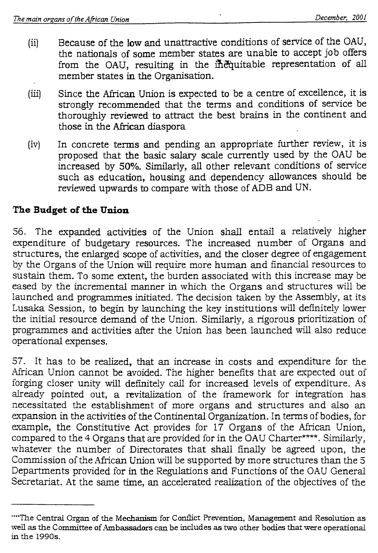- (ii) Because of the low and unattractive conditions of service of the OAU, the nationals of some member states are unable to accept job offers from the OAU, resulting in the inequitable representation of all member states in the Organisation.
- Since the African Union is expected to be a centre of excellence, it is  $(iii)$ strongly recommended that the terms and conditions of service be thoroughly reviewed to attract the best brains in the continent and those in the African diaspora
- (iv) In concrete terms and pending an appropriate further review, it is proposed that the basic salary scale currently used by the OAU be increased by 50%. Similarly, all other relevant conditions of service such as education, housing and dependency allowances should be reviewed upwards to compare with those of ADB and UN.

# **The Budget of the Union**

56. The expanded activities of the Union shall entail a relatively higher expenditure of budgetary resources. The increased number of Organs and structures, the enlarged scope of activities, and the closer degree of engagement by the Organs of the Union will require more human and financial resources to sustain them. To some extent, the burden associated with this increase may be eased by the incremental manner in which the Organs and structures will be launched and programmes initiated. The decision taken by the Assembly, at its Lusaka Session, to begin by launching the key institutions will definitely lower the initial resource demand of the Union. Similarly, a rigorous prioritization of programmes and activities after the Union has been launched will also reduce operational expenses.

57. It has to be realized, that an increase in costs and expenditure for the African Union cannot be avoided. The higher benefits that are expected out of forging closer unity will definitely call for increased levels of expenditure. As already pointed out, a revitalization of the framework for integration has necessitated the establishment of more organs and structures and also an expansion in the activities of the Continental Organization. In terms of bodies, for example, the Constitutive Act provides for 17 Organs of the African Union, compared to the 4 Organs that are provided for in the OAU Charter\*\*\*\*. Similarly, whatever the number of Directorates that shall finally be agreed upon, the Commission of the African Union will be supported by more structures than the 5 Departments provided for in the Regulations and Functions of the OAU General Secretariat. At the same time, an accelerated realization of the objectives of the

<sup>&</sup>quot;"The Central Organ of the Mechanism for Conflict Prevention, Management and Resolution as well as the Committee of Ambassadors can be includes as two other bodies that were operational in the 1990s.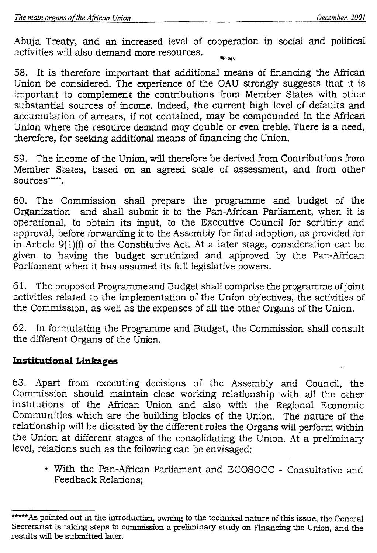Abuja Treaty, and an increased level of cooperation in social and political activities will also demand **more** resources. **116 /it%** 

58. It is therefore important that additional means of financing the African Union be considered. The experience of the OAU strongly suggests that it is important to complement the contributions from Member States with other substantial sources of income. Indeed, the current high level of defaults and accumulation of arrears, if not contained, may be compounded in the African Union where the resource demand may double or even treble. There is a need, therefore, for seeking additional means of financing the Union.

59. The income of the Union, will therefore be derived from Contributions from Member States, based on an agreed scale of assessment, and from other sources……

60. The Commission shall prepare the programme and budget of the Organization and shall submit it to the Pan-African Parliament, when it is operational, to obtain its input, to the Executive Council for scrutiny and approval, before forwarding it to the Assembly for final adoption, as provided for in Article 9(1)(f) of the Constitutive Act. At a later stage, consideration can be given to having the budget scrutinized and approved by the Pan-African Parliament when it has assumed its full legislative powers.

61. The proposed Programme and Budget shall comprise the programme of joint activities related to the implementation of the Union objectives, the activities of the Commission, as well as the expenses of all the other Organs of the Union.

62. In formulating the Programme and Budget, the Commission shallconsult the different Organs of the Union.

# **Institutional Linkages**

63. Apart from executing decisions of the Assembly and Council, the Commission should maintain close working relationship with all the other institutions of the African Union and also with the Regional Economic Communities which are the building blocks of the Union. The nature of the relationship will be dictated by the different roles the Organs will perform within the Union at different stages of the consolidating the Union. At a preliminary level, relations such as the following can be envisaged:

• With the Pan-African Parliament and ECOSOCC - Consultative and Feedback Relations;

<sup>\*\*\*</sup>As pointed out in the introduction, owning to the technical nature of this issue, the General Secretariat is taking steps to commission a preliminary study on Financing the Union, and the results will be submitted later.